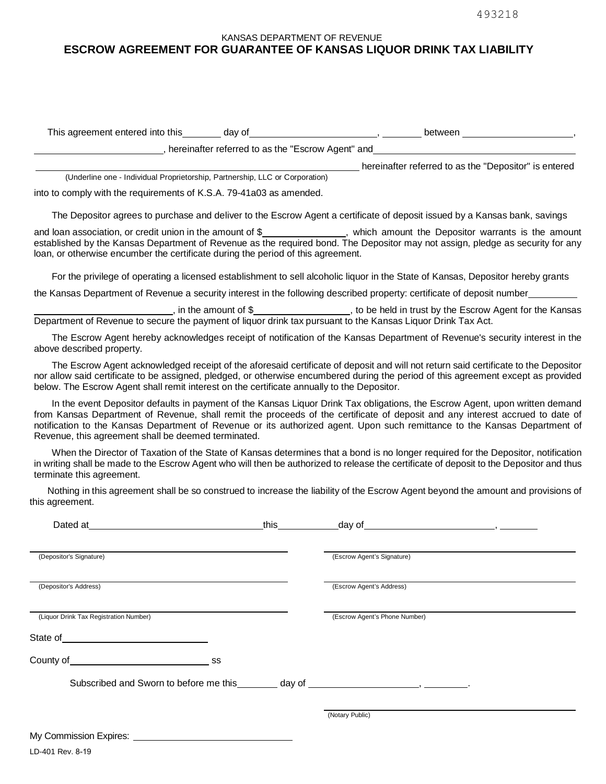## KANSAS DEPARTMENT OF REVENUE **ESCROW AGREEMENT FOR GUARANTEE OF KANSAS LIQUOR DRINK TAX LIABILITY**

| This agreement entered into this<br>dav of        | between                                               |  |
|---------------------------------------------------|-------------------------------------------------------|--|
| hereinafter referred to as the "Escrow Agent" and |                                                       |  |
|                                                   | hereinafter referred to as the "Depositor" is entered |  |

into to comply with the requirements of K.S.A. 79-41a03 as amended.

(Underline one - Individual Proprietorship, Partnership, LLC or Corporation)

The Depositor agrees to purchase and deliver to the Escrow Agent a certificate of deposit issued by a Kansas bank, savings

and loan association, or credit union in the amount of \$ , which amount the Depositor warrants is the amount established by the Kansas Department of Revenue as the required bond. The Depositor may not assign, pledge as security for any loan, or otherwise encumber the certificate during the period of this agreement.

For the privilege of operating a licensed establishment to sell alcoholic liquor in the State of Kansas, Depositor hereby grants

the Kansas Department of Revenue a security interest in the following described property: certificate of deposit number

, in the amount of \$ , to be held in trust by the Escrow Agent for the Kansas Department of Revenue to secure the payment of liquor drink tax pursuant to the Kansas Liquor Drink Tax Act.

The Escrow Agent hereby acknowledges receipt of notification of the Kansas Department of Revenue's security interest in the above described property.

The Escrow Agent acknowledged receipt of the aforesaid certificate of deposit and will not return said certificate to the Depositor nor allow said certificate to be assigned, pledged, or otherwise encumbered during the period of this agreement except as provided below. The Escrow Agent shall remit interest on the certificate annually to the Depositor.

In the event Depositor defaults in payment of the Kansas Liquor Drink Tax obligations, the Escrow Agent, upon written demand from Kansas Department of Revenue, shall remit the proceeds of the certificate of deposit and any interest accrued to date of notification to the Kansas Department of Revenue or its authorized agent. Upon such remittance to the Kansas Department of Revenue, this agreement shall be deemed terminated.

When the Director of Taxation of the State of Kansas determines that a bond is no longer required for the Depositor, notification in writing shall be made to the Escrow Agent who will then be authorized to release the certificate of deposit to the Depositor and thus terminate this agreement.

Nothing in this agreement shall be so construed to increase the liability of the Escrow Agent beyond the amount and provisions of this agreement.

| Dated at<br><u> 1980 - Jan Samuel Barbara, martin di</u>                                                                                                                                                                                                                                                                           | this the control of the control of the control of the control of the control of the control of the control of the control of the control of the control of the control of the control of the control of the control of the con |                               |
|------------------------------------------------------------------------------------------------------------------------------------------------------------------------------------------------------------------------------------------------------------------------------------------------------------------------------------|--------------------------------------------------------------------------------------------------------------------------------------------------------------------------------------------------------------------------------|-------------------------------|
| (Depositor's Signature)                                                                                                                                                                                                                                                                                                            |                                                                                                                                                                                                                                | (Escrow Agent's Signature)    |
| (Depositor's Address)                                                                                                                                                                                                                                                                                                              |                                                                                                                                                                                                                                | (Escrow Agent's Address)      |
| (Liquor Drink Tax Registration Number)                                                                                                                                                                                                                                                                                             |                                                                                                                                                                                                                                | (Escrow Agent's Phone Number) |
|                                                                                                                                                                                                                                                                                                                                    |                                                                                                                                                                                                                                |                               |
|                                                                                                                                                                                                                                                                                                                                    |                                                                                                                                                                                                                                |                               |
|                                                                                                                                                                                                                                                                                                                                    |                                                                                                                                                                                                                                |                               |
|                                                                                                                                                                                                                                                                                                                                    |                                                                                                                                                                                                                                | (Notary Public)               |
|                                                                                                                                                                                                                                                                                                                                    |                                                                                                                                                                                                                                |                               |
| $\mathbf{r}$ $\mathbf{r}$ $\mathbf{r}$ $\mathbf{r}$ $\mathbf{r}$ $\mathbf{r}$ $\mathbf{r}$ $\mathbf{r}$ $\mathbf{r}$ $\mathbf{r}$ $\mathbf{r}$ $\mathbf{r}$ $\mathbf{r}$ $\mathbf{r}$ $\mathbf{r}$ $\mathbf{r}$ $\mathbf{r}$ $\mathbf{r}$ $\mathbf{r}$ $\mathbf{r}$ $\mathbf{r}$ $\mathbf{r}$ $\mathbf{r}$ $\mathbf{r}$ $\mathbf{$ |                                                                                                                                                                                                                                |                               |